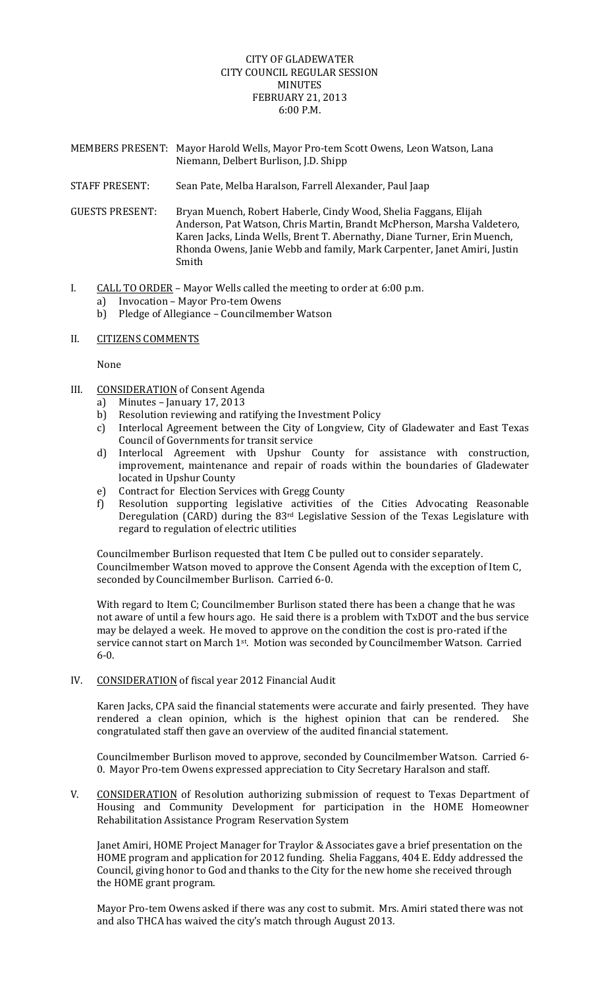## CITY OF GLADEWATER CITY COUNCIL REGULAR SESSION MINUTES FEBRUARY 21, 2013 6:00 P.M.

- MEMBERS PRESENT: Mayor Harold Wells, Mayor Pro‐tem Scott Owens, Leon Watson, Lana Niemann, Delbert Burlison, J.D. Shipp
- STAFF PRESENT: Sean Pate, Melba Haralson, Farrell Alexander, Paul Jaap
- GUESTS PRESENT: Bryan Muench, Robert Haberle, Cindy Wood, Shelia Faggans, Elijah Anderson, Pat Watson, Chris Martin, Brandt McPherson, Marsha Valdetero, Karen Jacks, Linda Wells, Brent T. Abernathy, Diane Turner, Erin Muench, Rhonda Owens, Janie Webb and family, Mark Carpenter, Janet Amiri, Justin Smith
- I. CALL TO ORDER Mayor Wells called the meeting to order at 6:00 p.m.
	- a) Invocation Mayor Pro-tem Owens
	- b) Pledge of Allegiance Councilmember Watson
- II. CITIZENS COMMENTS

None

- III. CONSIDERATION of Consent Agenda
	- a) Minutes January 17, 2013
	- b) Resolution reviewing and ratifying the Investment Policy
	- c) Interlocal Agreement between the City of Longview, City of Gladewater and East Texas Council of Governments for transit service
	- d) Interlocal Agreement with Upshur County for assistance with construction, improvement, maintenance and repair of roads within the boundaries of Gladewater located in Upshur County
	- e) Contract for Election Services with Gregg County
	- f) Resolution supporting legislative activities of the Cities Advocating Reasonable Deregulation (CARD) during the 83<sup>rd</sup> Legislative Session of the Texas Legislature with regard to regulation of electric utilities

Councilmember Burlison requested that Item C be pulled out to consider separately. Councilmember Watson moved to approve the Consent Agenda with the exception of Item C, seconded by Councilmember Burlison. Carried 6‐0.

With regard to Item C; Councilmember Burlison stated there has been a change that he was not aware of until a few hours ago. He said there is a problem with TxDOT and the bus service may be delayed a week. He moved to approve on the condition the cost is pro‐rated if the service cannot start on March 1<sup>st</sup>. Motion was seconded by Councilmember Watson. Carried 6‐0.

IV. CONSIDERATION of fiscal year 2012 Financial Audit

Karen Jacks, CPA said the financial statements were accurate and fairly presented. They have rendered a clean opinion, which is the highest opinion that can be rendered. She congratulated staff then gave an overview of the audited financial statement.

Councilmember Burlison moved to approve, seconded by Councilmember Watson. Carried 6‐ 0. Mayor Pro-tem Owens expressed appreciation to City Secretary Haralson and staff.

V. CONSIDERATION of Resolution authorizing submission of request to Texas Department of Housing and Community Development for participation in the HOME Homeowner Rehabilitation Assistance Program Reservation System

Janet Amiri, HOME Project Manager for Traylor & Associates gave a brief presentation on the HOME program and application for 2012 funding. Shelia Faggans, 404 E. Eddy addressed the Council, giving honor to God and thanks to the City for the new home she received through the HOME grant program.

Mayor Pro‐tem Owens asked if there was any cost to submit. Mrs. Amiri stated there was not and also THCA has waived the city's match through August 2013.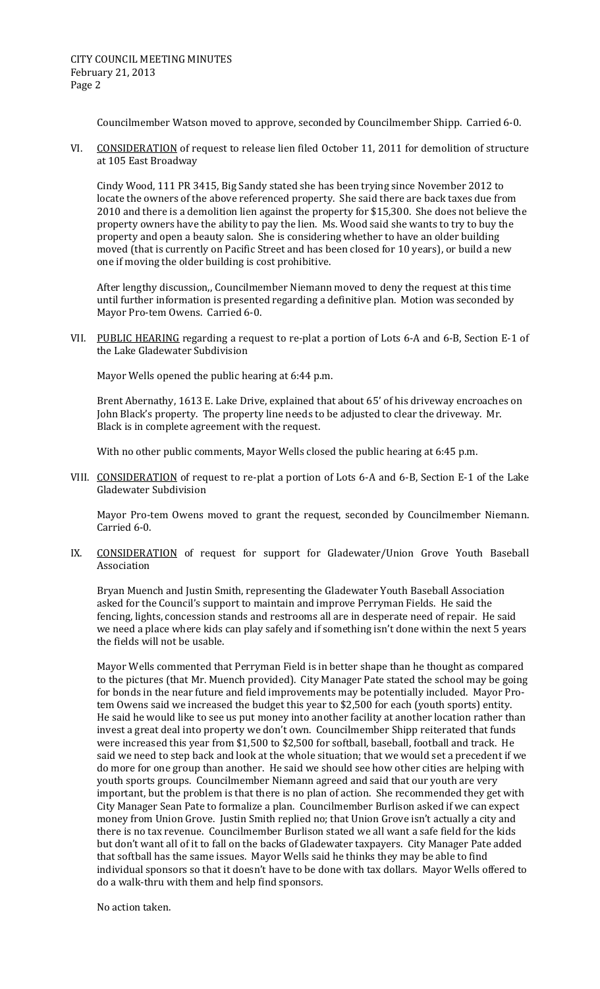Councilmember Watson moved to approve, seconded by Councilmember Shipp. Carried 6‐0.

VI. CONSIDERATION of request to release lien filed October 11, 2011 for demolition of structure at 105 East Broadway

Cindy Wood, 111 PR 3415, Big Sandy stated she has been trying since November 2012 to locate the owners of the above referenced property. She said there are back taxes due from 2010 and there is a demolition lien against the property for \$15,300. She does not believe the property owners have the ability to pay the lien. Ms. Wood said she wants to try to buy the property and open a beauty salon. She is considering whether to have an older building moved (that is currently on Pacific Street and has been closed for 10 years), or build a new one if moving the older building is cost prohibitive.

After lengthy discussion,, Councilmember Niemann moved to deny the request at this time until further information is presented regarding a definitive plan. Motion was seconded by Mayor Pro‐tem Owens. Carried 6‐0.

VII. PUBLIC HEARING regarding a request to re-plat a portion of Lots 6-A and 6-B, Section E-1 of the Lake Gladewater Subdivision

Mayor Wells opened the public hearing at 6:44 p.m.

Brent Abernathy, 1613 E. Lake Drive, explained that about 65' of his driveway encroaches on John Black's property. The property line needs to be adjusted to clear the driveway. Mr. Black is in complete agreement with the request.

With no other public comments, Mayor Wells closed the public hearing at 6:45 p.m.

VIII. CONSIDERATION of request to re-plat a portion of Lots 6-A and 6-B, Section E-1 of the Lake Gladewater Subdivision

Mayor Pro-tem Owens moved to grant the request, seconded by Councilmember Niemann. Carried 6‐0.

IX. CONSIDERATION of request for support for Gladewater/Union Grove Youth Baseball Association

Bryan Muench and Justin Smith, representing the Gladewater Youth Baseball Association asked for the Council's support to maintain and improve Perryman Fields. He said the fencing, lights, concession stands and restrooms all are in desperate need of repair. He said we need a place where kids can play safely and if something isn't done within the next 5 years the fields will not be usable.

Mayor Wells commented that Perryman Field is in better shape than he thought as compared to the pictures (that Mr. Muench provided). City Manager Pate stated the school may be going for bonds in the near future and field improvements may be potentially included. Mayor Protem Owens said we increased the budget this year to \$2,500 for each (youth sports) entity. He said he would like to see us put money into another facility at another location rather than invest a great deal into property we don't own. Councilmember Shipp reiterated that funds were increased this year from \$1,500 to \$2,500 for softball, baseball, football and track. He said we need to step back and look at the whole situation; that we would set a precedent if we do more for one group than another. He said we should see how other cities are helping with youth sports groups. Councilmember Niemann agreed and said that our youth are very important, but the problem is that there is no plan of action. She recommended they get with City Manager Sean Pate to formalize a plan. Councilmember Burlison asked if we can expect money from Union Grove. Justin Smith replied no; that Union Grove isn't actually a city and there is no tax revenue. Councilmember Burlison stated we all want a safe field for the kids but don't want all of it to fall on the backs of Gladewater taxpayers. City Manager Pate added that softball has the same issues. Mayor Wells said he thinks they may be able to find individual sponsors so that it doesn't have to be done with tax dollars. Mayor Wells offered to do a walk‐thru with them and help find sponsors.

No action taken.